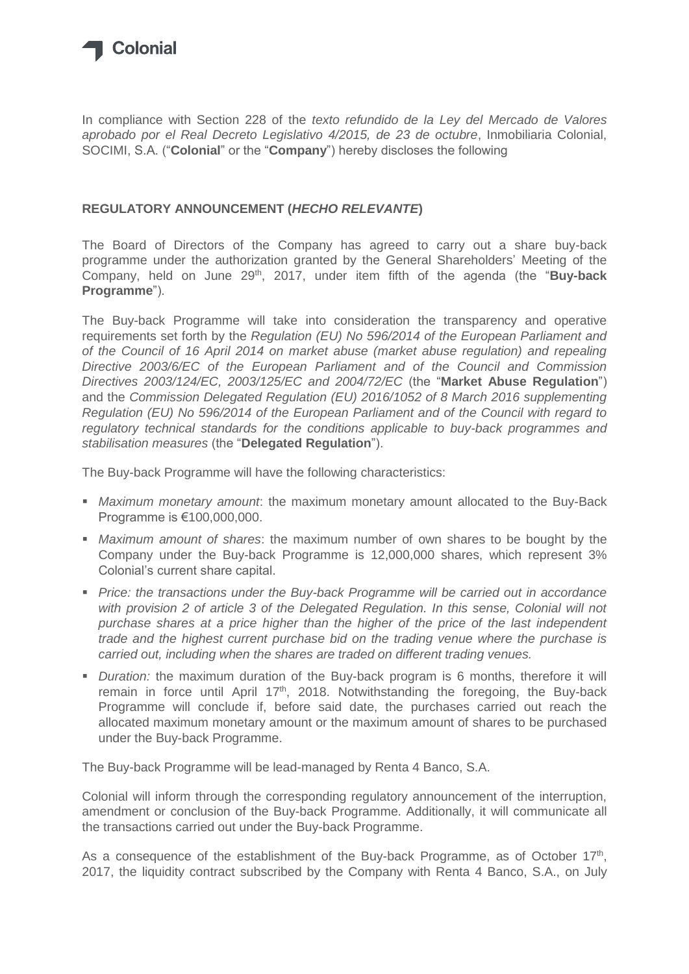

In compliance with Section 228 of the *texto refundido de la Ley del Mercado de Valores aprobado por el Real Decreto Legislativo 4/2015, de 23 de octubre*, Inmobiliaria Colonial, SOCIMI, S.A. ("**Colonial**" or the "**Company**") hereby discloses the following

## **REGULATORY ANNOUNCEMENT (***HECHO RELEVANTE***)**

The Board of Directors of the Company has agreed to carry out a share buy-back programme under the authorization granted by the General Shareholders' Meeting of the Company, held on June 29<sup>th</sup>, 2017, under item fifth of the agenda (the "**Buy-back Programme**").

The Buy-back Programme will take into consideration the transparency and operative requirements set forth by the *Regulation (EU) No 596/2014 of the European Parliament and of the Council of 16 April 2014 on market abuse (market abuse regulation) and repealing Directive 2003/6/EC of the European Parliament and of the Council and Commission Directives 2003/124/EC, 2003/125/EC and 2004/72/EC* (the "**Market Abuse Regulation**") and the *Commission Delegated Regulation (EU) 2016/1052 of 8 March 2016 supplementing Regulation (EU) No 596/2014 of the European Parliament and of the Council with regard to regulatory technical standards for the conditions applicable to buy-back programmes and stabilisation measures* (the "**Delegated Regulation**").

The Buy-back Programme will have the following characteristics:

- *Maximum monetary amount*: the maximum monetary amount allocated to the Buy-Back Programme is €100,000,000.
- *Maximum amount of shares*: the maximum number of own shares to be bought by the Company under the Buy-back Programme is 12,000,000 shares, which represent 3% Colonial's current share capital.
- *Price: the transactions under the Buy-back Programme will be carried out in accordance with provision 2 of article 3 of the Delegated Regulation. In this sense, Colonial will not purchase shares at a price higher than the higher of the price of the last independent trade and the highest current purchase bid on the trading venue where the purchase is carried out, including when the shares are traded on different trading venues.*
- *Duration:* the maximum duration of the Buy-back program is 6 months, therefore it will remain in force until April  $17<sup>th</sup>$ , 2018. Notwithstanding the foregoing, the Buy-back Programme will conclude if, before said date, the purchases carried out reach the allocated maximum monetary amount or the maximum amount of shares to be purchased under the Buy-back Programme.

The Buy-back Programme will be lead-managed by Renta 4 Banco, S.A.

Colonial will inform through the corresponding regulatory announcement of the interruption, amendment or conclusion of the Buy-back Programme. Additionally, it will communicate all the transactions carried out under the Buy-back Programme.

As a consequence of the establishment of the Buy-back Programme, as of October  $17<sup>th</sup>$ , 2017, the liquidity contract subscribed by the Company with Renta 4 Banco, S.A., on July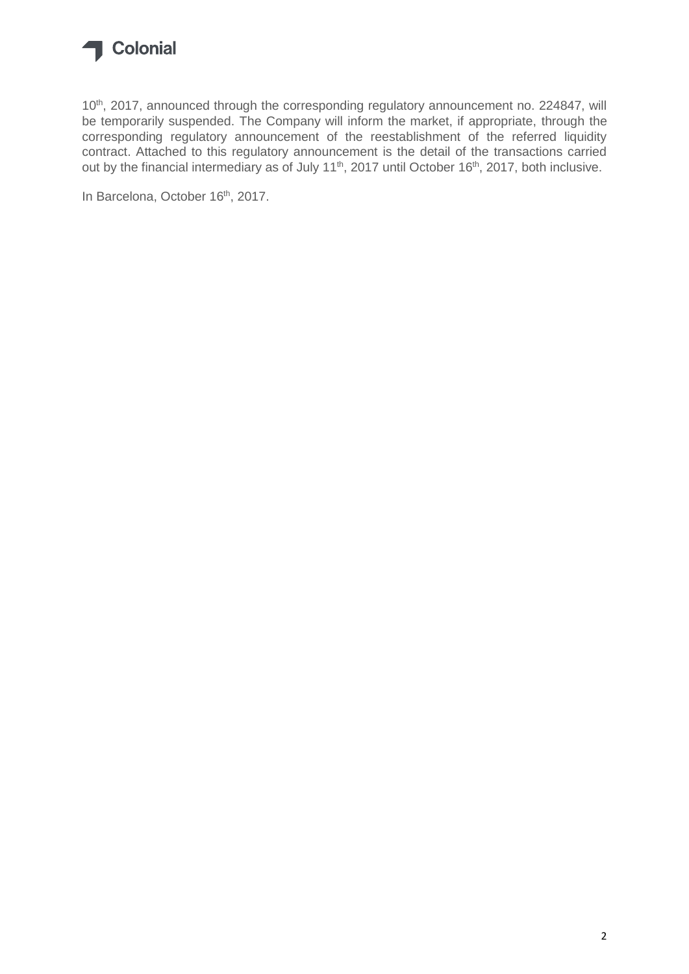

10<sup>th</sup>, 2017, announced through the corresponding regulatory announcement no. 224847, will be temporarily suspended. The Company will inform the market, if appropriate, through the corresponding regulatory announcement of the reestablishment of the referred liquidity contract. Attached to this regulatory announcement is the detail of the transactions carried out by the financial intermediary as of July 11<sup>th</sup>, 2017 until October 16<sup>th</sup>, 2017, both inclusive.

In Barcelona, October 16<sup>th</sup>, 2017.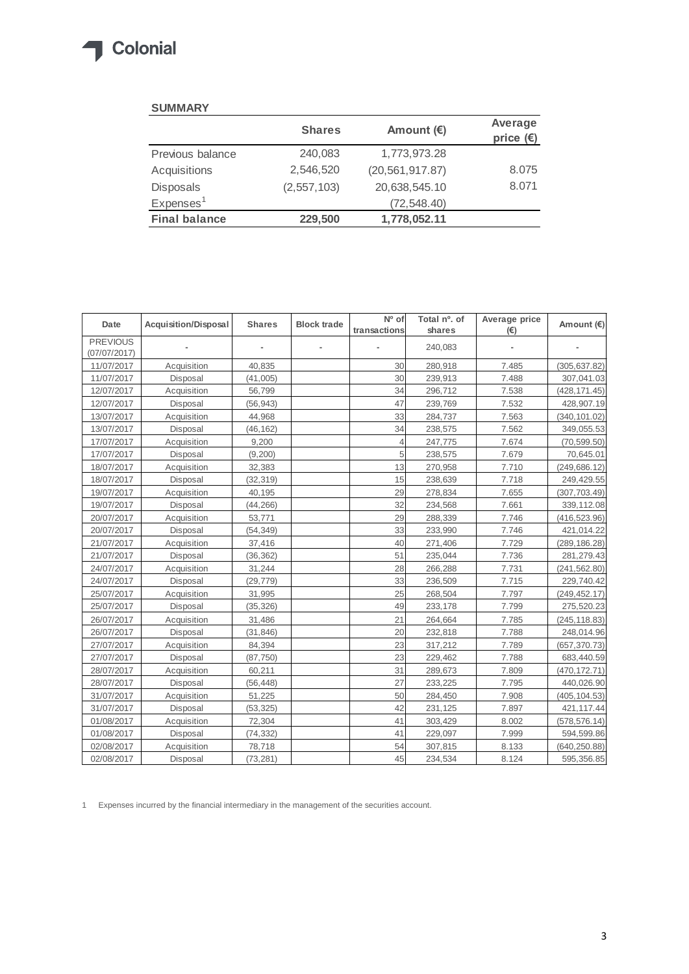## Colonial  $\sqrt{2}$

## **SUMMARY**

|                       | <b>Shares</b> | Amount $(E)$      | Average<br>price $(\epsilon)$ |
|-----------------------|---------------|-------------------|-------------------------------|
| Previous balance      | 240,083       | 1,773,973.28      |                               |
| Acquisitions          | 2,546,520     | (20, 561, 917.87) | 8.075                         |
| Disposals             | (2, 557, 103) | 20,638,545.10     | 8.071                         |
| Expenses <sup>1</sup> |               | (72, 548.40)      |                               |
| <b>Final balance</b>  | 229,500       | 1,778,052.11      |                               |

| Date                            | <b>Acquisition/Disposal</b> | <b>Shares</b> | <b>Block trade</b> | Nº of<br>transactions | Total nº. of<br>shares | Average price<br>(E) | Amount (€)    |
|---------------------------------|-----------------------------|---------------|--------------------|-----------------------|------------------------|----------------------|---------------|
| <b>PREVIOUS</b><br>(07/07/2017) |                             |               |                    |                       | 240,083                |                      |               |
| 11/07/2017                      | Acquisition                 | 40,835        |                    | 30                    | 280,918                | 7.485                | (305, 637.82) |
| 11/07/2017                      | Disposal                    | (41,005)      |                    | 30                    | 239,913                | 7.488                | 307,041.03    |
| 12/07/2017                      | Acquisition                 | 56,799        |                    | 34                    | 296,712                | 7.538                | (428, 171.45) |
| 12/07/2017                      | Disposal                    | (56, 943)     |                    | 47                    | 239,769                | 7.532                | 428,907.19    |
| 13/07/2017                      | Acquisition                 | 44,968        |                    | 33                    | 284,737                | 7.563                | (340, 101.02) |
| 13/07/2017                      | Disposal                    | (46, 162)     |                    | 34                    | 238,575                | 7.562                | 349,055.53    |
| 17/07/2017                      | Acquisition                 | 9,200         |                    | 4                     | 247,775                | 7.674                | (70, 599.50)  |
| 17/07/2017                      | Disposal                    | (9, 200)      |                    | 5                     | 238,575                | 7.679                | 70,645.01     |
| 18/07/2017                      | Acquisition                 | 32,383        |                    | 13                    | 270,958                | 7.710                | (249, 686.12) |
| 18/07/2017                      | Disposal                    | (32, 319)     |                    | 15                    | 238,639                | 7.718                | 249,429.55    |
| 19/07/2017                      | Acquisition                 | 40,195        |                    | 29                    | 278,834                | 7.655                | (307, 703.49) |
| 19/07/2017                      | Disposal                    | (44, 266)     |                    | 32                    | 234,568                | 7.661                | 339,112.08    |
| 20/07/2017                      | Acquisition                 | 53,771        |                    | 29                    | 288,339                | 7.746                | (416, 523.96) |
| 20/07/2017                      | Disposal                    | (54, 349)     |                    | 33                    | 233,990                | 7.746                | 421,014.22    |
| 21/07/2017                      | Acquisition                 | 37,416        |                    | 40                    | 271,406                | 7.729                | (289, 186.28) |
| 21/07/2017                      | Disposal                    | (36, 362)     |                    | 51                    | 235,044                | 7.736                | 281,279.43    |
| 24/07/2017                      | Acquisition                 | 31,244        |                    | 28                    | 266,288                | 7.731                | (241, 562.80) |
| 24/07/2017                      | Disposal                    | (29, 779)     |                    | 33                    | 236,509                | 7.715                | 229,740.42    |
| 25/07/2017                      | Acquisition                 | 31,995        |                    | 25                    | 268,504                | 7.797                | (249, 452.17) |
| 25/07/2017                      | Disposal                    | (35, 326)     |                    | 49                    | 233,178                | 7.799                | 275,520.23    |
| 26/07/2017                      | Acquisition                 | 31,486        |                    | 21                    | 264,664                | 7.785                | (245, 118.83) |
| 26/07/2017                      | Disposal                    | (31, 846)     |                    | 20                    | 232,818                | 7.788                | 248,014.96    |
| 27/07/2017                      | Acquisition                 | 84,394        |                    | 23                    | 317,212                | 7.789                | (657, 370.73) |
| 27/07/2017                      | Disposal                    | (87, 750)     |                    | 23                    | 229,462                | 7.788                | 683,440.59    |
| 28/07/2017                      | Acquisition                 | 60,211        |                    | 31                    | 289,673                | 7.809                | (470, 172.71) |
| 28/07/2017                      | Disposal                    | (56, 448)     |                    | 27                    | 233,225                | 7.795                | 440,026.90    |
| 31/07/2017                      | Acquisition                 | 51,225        |                    | 50                    | 284,450                | 7.908                | (405, 104.53) |
| 31/07/2017                      | Disposal                    | (53, 325)     |                    | 42                    | 231,125                | 7.897                | 421,117.44    |
| 01/08/2017                      | Acquisition                 | 72,304        |                    | 41                    | 303,429                | 8.002                | (578, 576.14) |
| 01/08/2017                      | Disposal                    | (74, 332)     |                    | 41                    | 229,097                | 7.999                | 594,599.86    |
| 02/08/2017                      | Acquisition                 | 78,718        |                    | 54                    | 307,815                | 8.133                | (640, 250.88) |
| 02/08/2017                      | Disposal                    | (73, 281)     |                    | 45                    | 234,534                | 8.124                | 595,356.85    |

1 Expenses incurred by the financial intermediary in the management of the securities account.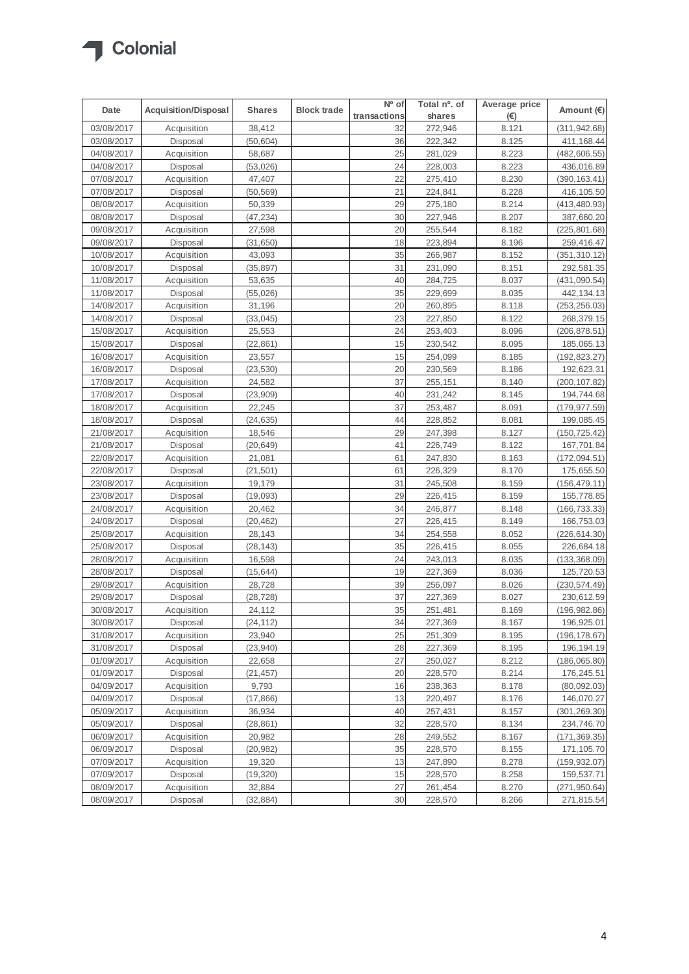

| Date       | <b>Acquisition/Disposal</b> | <b>Shares</b> | <b>Block trade</b> | $\overline{N^0}$ of | Total nº. of | Average price | Amount (€)    |
|------------|-----------------------------|---------------|--------------------|---------------------|--------------|---------------|---------------|
|            |                             |               |                    | transactions        | shares       | $(\epsilon)$  |               |
| 03/08/2017 | Acquisition                 | 38,412        |                    | 32                  | 272,946      | 8.121         | (311, 942.68) |
| 03/08/2017 | Disposal                    | (50, 604)     |                    | 36                  | 222,342      | 8.125         | 411,168.44    |
| 04/08/2017 | Acquisition                 | 58,687        |                    | 25                  | 281,029      | 8.223         | (482,606.55)  |
| 04/08/2017 | Disposal                    | (53, 026)     |                    | 24                  | 228,003      | 8.223         | 436,016.89    |
| 07/08/2017 | Acquisition                 | 47,407        |                    | 22                  | 275,410      | 8.230         | (390, 163.41) |
| 07/08/2017 | Disposal                    | (50, 569)     |                    | 21                  | 224,841      | 8.228         | 416,105.50    |
| 08/08/2017 | Acquisition                 | 50,339        |                    | 29                  | 275,180      | 8.214         | (413,480.93)  |
| 08/08/2017 | Disposal                    | (47, 234)     |                    | 30                  | 227,946      | 8.207         | 387,660.20    |
| 09/08/2017 | Acquisition                 | 27,598        |                    | 20                  | 255,544      | 8.182         | (225, 801.68) |
| 09/08/2017 | Disposal                    | (31, 650)     |                    | 18                  | 223,894      | 8.196         | 259,416.47    |
| 10/08/2017 | Acquisition                 | 43,093        |                    | 35                  | 266,987      | 8.152         | (351, 310.12) |
| 10/08/2017 | Disposal                    | (35, 897)     |                    | 31                  | 231,090      | 8.151         | 292,581.35    |
| 11/08/2017 | Acquisition                 | 53,635        |                    | 40                  | 284,725      | 8.037         | (431, 090.54) |
| 11/08/2017 | Disposal                    | (55, 026)     |                    | 35                  | 229,699      | 8.035         | 442,134.13    |
| 14/08/2017 | Acquisition                 | 31,196        |                    | 20                  | 260,895      | 8.118         | (253, 256.03) |
| 14/08/2017 | Disposal                    | (33, 045)     |                    | 23                  | 227,850      | 8.122         | 268,379.15    |
| 15/08/2017 | Acquisition                 | 25,553        |                    | 24                  | 253,403      | 8.096         | (206,878.51)  |
| 15/08/2017 | Disposal                    | (22, 861)     |                    | 15                  | 230,542      | 8.095         | 185,065.13    |
| 16/08/2017 | Acquisition                 | 23,557        |                    | 15                  | 254,099      | 8.185         | (192, 823.27) |
| 16/08/2017 | Disposal                    | (23, 530)     |                    | 20                  | 230,569      | 8.186         | 192,623.31    |
| 17/08/2017 | Acquisition                 | 24,582        |                    | 37                  | 255,151      | 8.140         | (200, 107.82) |
| 17/08/2017 | Disposal                    | (23,909)      |                    | 40                  | 231,242      | 8.145         | 194,744.68    |
| 18/08/2017 | Acquisition                 | 22,245        |                    | 37                  | 253,487      | 8.091         | (179, 977.59) |
| 18/08/2017 | Disposal                    | (24, 635)     |                    | 44                  | 228,852      | 8.081         | 199,085.45    |
| 21/08/2017 | Acquisition                 | 18,546        |                    | 29                  | 247,398      | 8.127         | (150, 725.42) |
| 21/08/2017 | Disposal                    | (20, 649)     |                    | 41                  | 226,749      | 8.122         | 167,701.84    |
| 22/08/2017 | Acquisition                 | 21,081        |                    | 61                  | 247,830      | 8.163         | (172,094.51)  |
| 22/08/2017 | Disposal                    | (21, 501)     |                    | 61                  | 226,329      | 8.170         | 175,655.50    |
| 23/08/2017 | Acquisition                 | 19,179        |                    | 31                  | 245,508      | 8.159         | (156, 479.11) |
| 23/08/2017 | Disposal                    | (19,093)      |                    | 29                  | 226,415      | 8.159         | 155,778.85    |
| 24/08/2017 | Acquisition                 | 20,462        |                    | 34                  | 246,877      | 8.148         | (166,733.33)  |
| 24/08/2017 | Disposal                    | (20, 462)     |                    | 27                  | 226,415      | 8.149         | 166,753.03    |
| 25/08/2017 | Acquisition                 | 28,143        |                    | 34                  | 254,558      | 8.052         | (226,614.30)  |
| 25/08/2017 | Disposal                    | (28, 143)     |                    | 35                  | 226,415      | 8.055         | 226,684.18    |
| 28/08/2017 | Acquisition                 | 16,598        |                    | 24                  | 243,013      | 8.035         | (133, 368.09) |
| 28/08/2017 | Disposal                    | (15, 644)     |                    | 19                  | 227,369      | 8.036         | 125,720.53    |
| 29/08/2017 | Acquisition                 | 28,728        |                    | 39                  | 256,097      | 8.026         | (230, 574.49) |
| 29/08/2017 | Disposal                    | (28, 728)     |                    | 37                  | 227,369      | 8.027         | 230,612.59    |
| 30/08/2017 | Acquisition                 | 24,112        |                    | 35                  | 251,481      | 8.169         | (196, 982.86) |
| 30/08/2017 | Disposal                    | (24, 112)     |                    | 34                  | 227,369      | 8.167         | 196,925.01    |
| 31/08/2017 | Acquisition                 | 23,940        |                    | 25                  | 251,309      | 8.195         | (196, 178.67) |
| 31/08/2017 | Disposal                    | (23, 940)     |                    | 28                  | 227,369      | 8.195         | 196, 194. 19  |
| 01/09/2017 | Acquisition                 | 22,658        |                    | 27                  | 250,027      | 8.212         | (186, 065.80) |
| 01/09/2017 | Disposal                    | (21, 457)     |                    | 20                  | 228,570      | 8.214         | 176,245.51    |
| 04/09/2017 | Acquisition                 | 9,793         |                    | 16                  | 238,363      | 8.178         | (80,092.03)   |
| 04/09/2017 | Disposal                    | (17, 866)     |                    | 13                  | 220,497      | 8.176         | 146,070.27    |
| 05/09/2017 | Acquisition                 | 36,934        |                    | 40                  | 257,431      | 8.157         | (301, 269.30) |
| 05/09/2017 | Disposal                    | (28, 861)     |                    | 32                  | 228,570      | 8.134         | 234,746.70    |
| 06/09/2017 | Acquisition                 | 20,982        |                    | 28                  | 249,552      | 8.167         | (171,369.35)  |
| 06/09/2017 | Disposal                    | (20, 982)     |                    | 35                  | 228,570      | 8.155         | 171,105.70    |
| 07/09/2017 | Acquisition                 | 19,320        |                    | 13                  | 247,890      | 8.278         | (159, 932.07) |
| 07/09/2017 | Disposal                    | (19, 320)     |                    | 15                  | 228,570      | 8.258         | 159,537.71    |
| 08/09/2017 | Acquisition                 | 32,884        |                    | 27                  | 261,454      | 8.270         | (271, 950.64) |
| 08/09/2017 | Disposal                    | (32, 884)     |                    | 30                  | 228,570      | 8.266         | 271,815.54    |